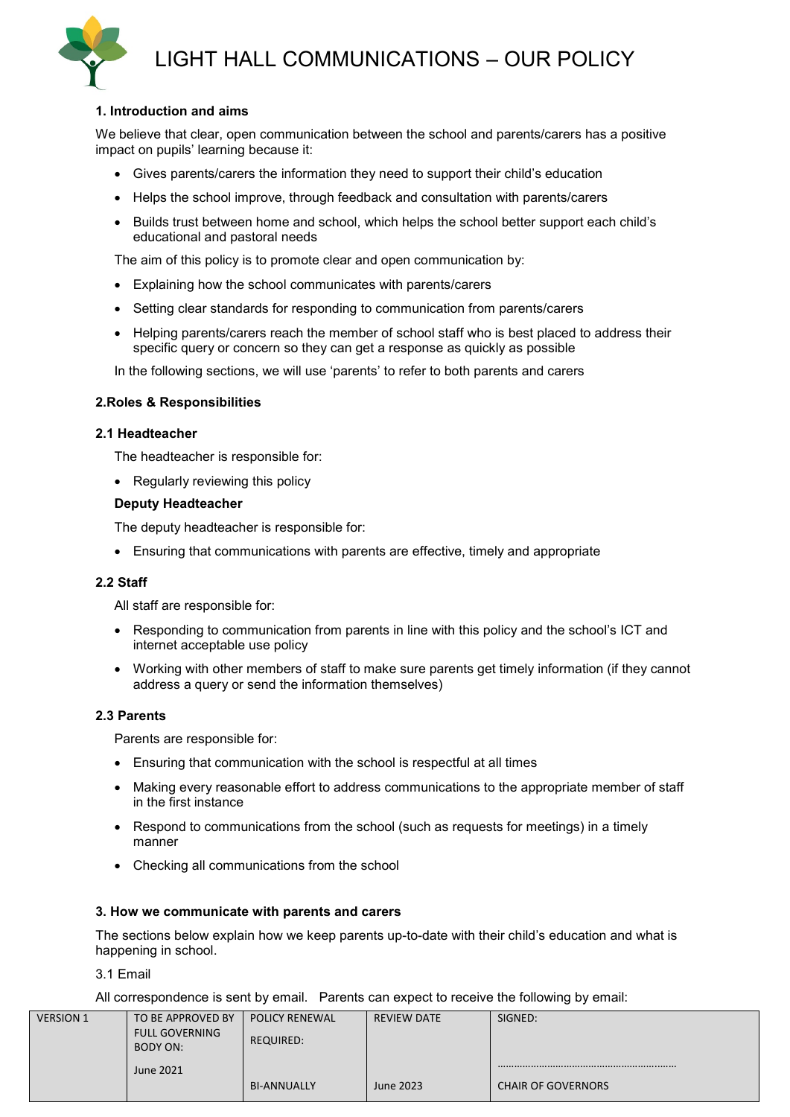

# LIGHT HALL COMMUNICATIONS – OUR POLICY

# **1. Introduction and aims**

We believe that clear, open communication between the school and parents/carers has a positive impact on pupils' learning because it:

- Gives parents/carers the information they need to support their child's education
- Helps the school improve, through feedback and consultation with parents/carers
- Builds trust between home and school, which helps the school better support each child's educational and pastoral needs

The aim of this policy is to promote clear and open communication by:

- Explaining how the school communicates with parents/carers
- Setting clear standards for responding to communication from parents/carers
- Helping parents/carers reach the member of school staff who is best placed to address their specific query or concern so they can get a response as quickly as possible

In the following sections, we will use 'parents' to refer to both parents and carers

#### **2.Roles & Responsibilities**

#### **2.1 Headteacher**

The headteacher is responsible for:

• Regularly reviewing this policy

#### **Deputy Headteacher**

The deputy headteacher is responsible for:

• Ensuring that communications with parents are effective, timely and appropriate

#### **2.2 Staff**

All staff are responsible for:

- Responding to communication from parents in line with this policy and the school's ICT and internet acceptable use policy
- Working with other members of staff to make sure parents get timely information (if they cannot address a query or send the information themselves)

#### **2.3 Parents**

Parents are responsible for:

- Ensuring that communication with the school is respectful at all times
- Making every reasonable effort to address communications to the appropriate member of staff in the first instance
- Respond to communications from the school (such as requests for meetings) in a timely manner
- Checking all communications from the school

#### **3. How we communicate with parents and carers**

The sections below explain how we keep parents up-to-date with their child's education and what is happening in school.

3.1 Email

All correspondence is sent by email. Parents can expect to receive the following by email:

| <b>VERSION 1</b> | TO BE APPROVED BY     | <b>POLICY RENEWAL</b> | REVIEW DATE | SIGNED:                   |
|------------------|-----------------------|-----------------------|-------------|---------------------------|
|                  | <b>FULL GOVERNING</b> |                       |             |                           |
|                  | BODY ON:              | <b>REQUIRED:</b>      |             |                           |
|                  | <b>June 2021</b>      |                       |             |                           |
|                  |                       |                       |             |                           |
|                  |                       | <b>BI-ANNUALLY</b>    | June 2023   | <b>CHAIR OF GOVERNORS</b> |
|                  |                       |                       |             |                           |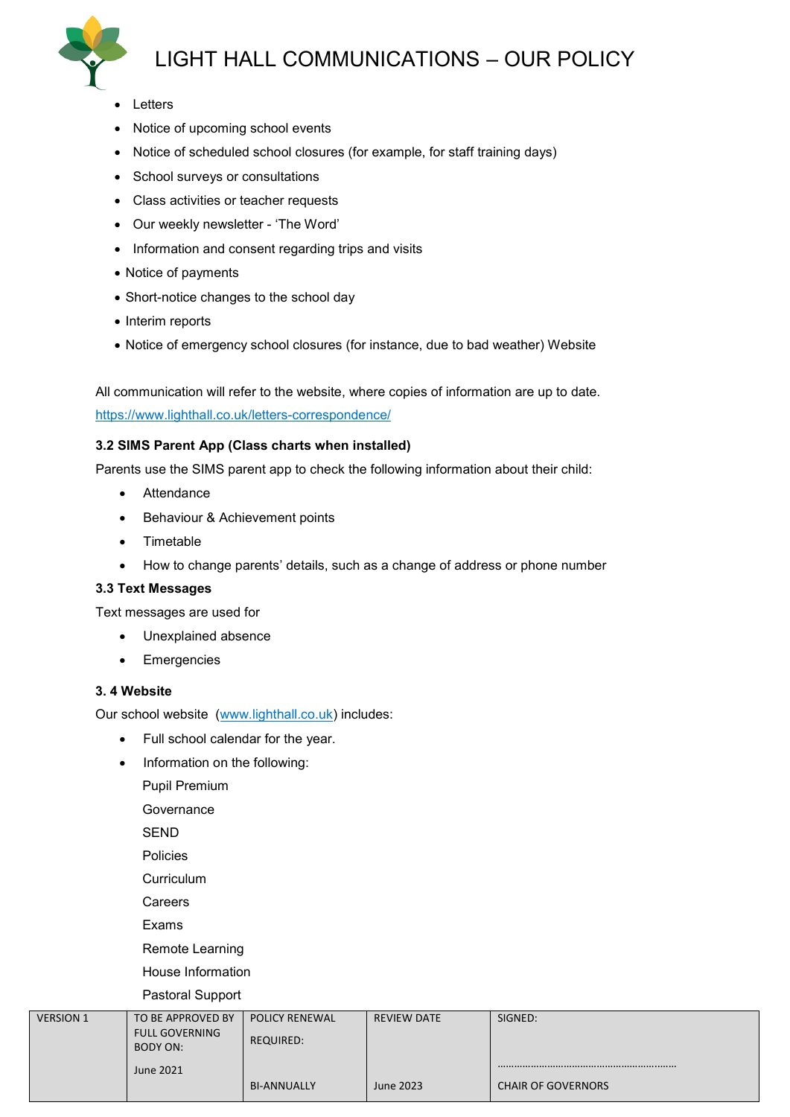# LIGHT HALL COMMUNICATIONS – OUR POLICY



- Letters
- Notice of upcoming school events
- Notice of scheduled school closures (for example, for staff training days)
- School surveys or consultations
- Class activities or teacher requests
- Our weekly newsletter 'The Word'
- Information and consent regarding trips and visits
- Notice of payments
- Short-notice changes to the school day
- Interim reports
- Notice of emergency school closures (for instance, due to bad weather) Website

All communication will refer to the website, where copies of information are up to date.

<https://www.lighthall.co.uk/letters-correspondence/>

# **3.2 SIMS Parent App (Class charts when installed)**

Parents use the SIMS parent app to check the following information about their child:

- Attendance
- Behaviour & Achievement points
- Timetable
- How to change parents' details, such as a change of address or phone number

# **3.3 Text Messages**

Text messages are used for

- Unexplained absence
- Emergencies

# **3. 4 Website**

Our school website [\(www.lighthall.co.uk\)](http://www.lighthall.co.uk/) includes:

- Full school calendar for the year.
- Information on the following:
	- Pupil Premium

Governance

SEND

Policies

**Curriculum** 

Careers

Exams

Remote Learning House Information

Pastoral Support

| <b>VERSION 1</b> | TO BE APPROVED BY     | <b>POLICY RENEWAL</b> | REVIEW DATE | SIGNED:                   |
|------------------|-----------------------|-----------------------|-------------|---------------------------|
|                  |                       |                       |             |                           |
|                  | <b>FULL GOVERNING</b> |                       |             |                           |
|                  |                       | <b>REQUIRED:</b>      |             |                           |
|                  | BODY ON:              |                       |             |                           |
|                  |                       |                       |             |                           |
|                  | <b>June 2021</b>      |                       |             |                           |
|                  |                       |                       |             |                           |
|                  |                       | <b>BI-ANNUALLY</b>    | June 2023   | <b>CHAIR OF GOVERNORS</b> |
|                  |                       |                       |             |                           |
|                  |                       |                       |             |                           |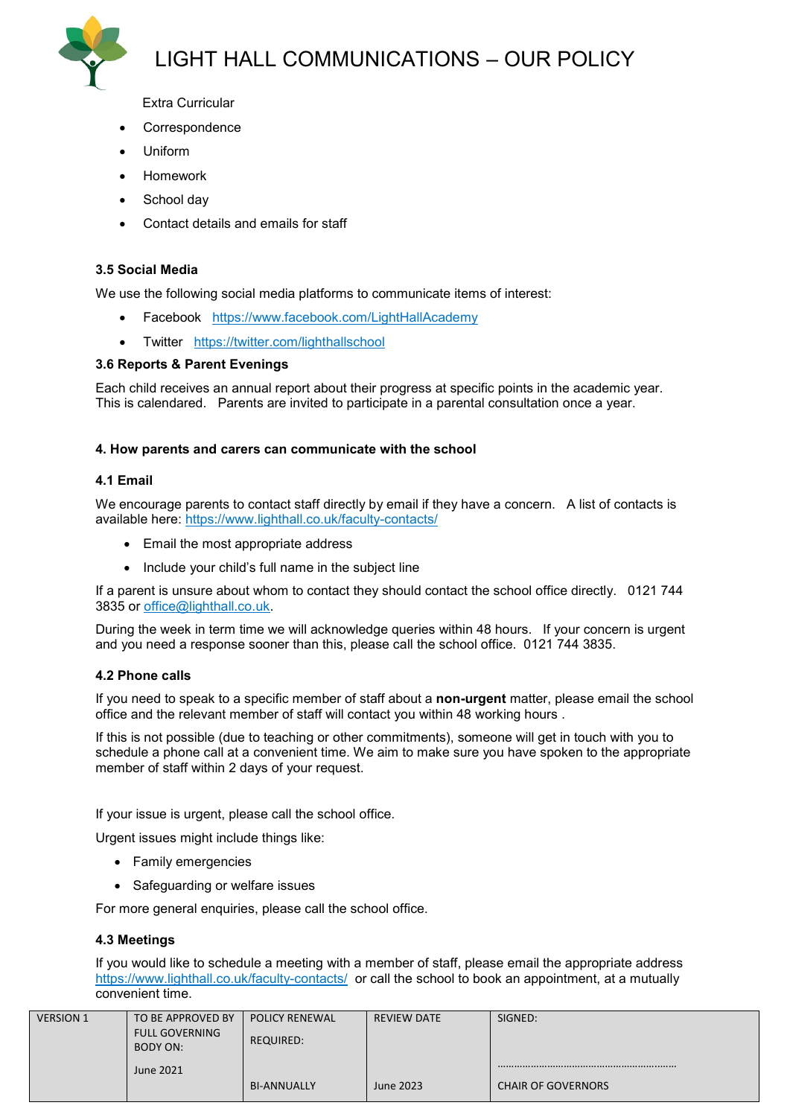

Extra Curricular

- **Correspondence**
- Uniform
- Homework
- School day
- Contact details and emails for staff

# **3.5 Social Media**

We use the following social media platforms to communicate items of interest:

- Facebook <https://www.facebook.com/LightHallAcademy>
- Twitter <https://twitter.com/lighthallschool>

# **3.6 Reports & Parent Evenings**

Each child receives an annual report about their progress at specific points in the academic year. This is calendared. Parents are invited to participate in a parental consultation once a year.

#### **4. How parents and carers can communicate with the school**

#### **4.1 Email**

We encourage parents to contact staff directly by email if they have a concern. A list of contacts is available here:<https://www.lighthall.co.uk/faculty-contacts/>

- Email the most appropriate address
- Include your child's full name in the subject line

If a parent is unsure about whom to contact they should contact the school office directly. 0121 744 3835 or [office@lighthall.co.uk.](mailto:office@lighthall.co.uk)

During the week in term time we will acknowledge queries within 48 hours. If your concern is urgent and you need a response sooner than this, please call the school office. 0121 744 3835.

# **4.2 Phone calls**

If you need to speak to a specific member of staff about a **non-urgent** matter, please email the school office and the relevant member of staff will contact you within 48 working hours .

If this is not possible (due to teaching or other commitments), someone will get in touch with you to schedule a phone call at a convenient time. We aim to make sure you have spoken to the appropriate member of staff within 2 days of your request.

If your issue is urgent, please call the school office.

Urgent issues might include things like:

- Family emergencies
- Safeguarding or welfare issues

For more general enquiries, please call the school office.

# **4.3 Meetings**

If you would like to schedule a meeting with a member of staff, please email the appropriate address <https://www.lighthall.co.uk/faculty-contacts/> or call the school to book an appointment, at a mutually convenient time.

| <b>VERSION 1</b> | TO BE APPROVED BY<br><b>FULL GOVERNING</b><br>BODY ON: | <b>POLICY RENEWAL</b><br><b>REQUIRED:</b> | <b>REVIEW DATE</b> | SIGNED:                   |
|------------------|--------------------------------------------------------|-------------------------------------------|--------------------|---------------------------|
|                  | June 2021                                              | <b>BI-ANNUALLY</b>                        | June 2023          | <b>CHAIR OF GOVERNORS</b> |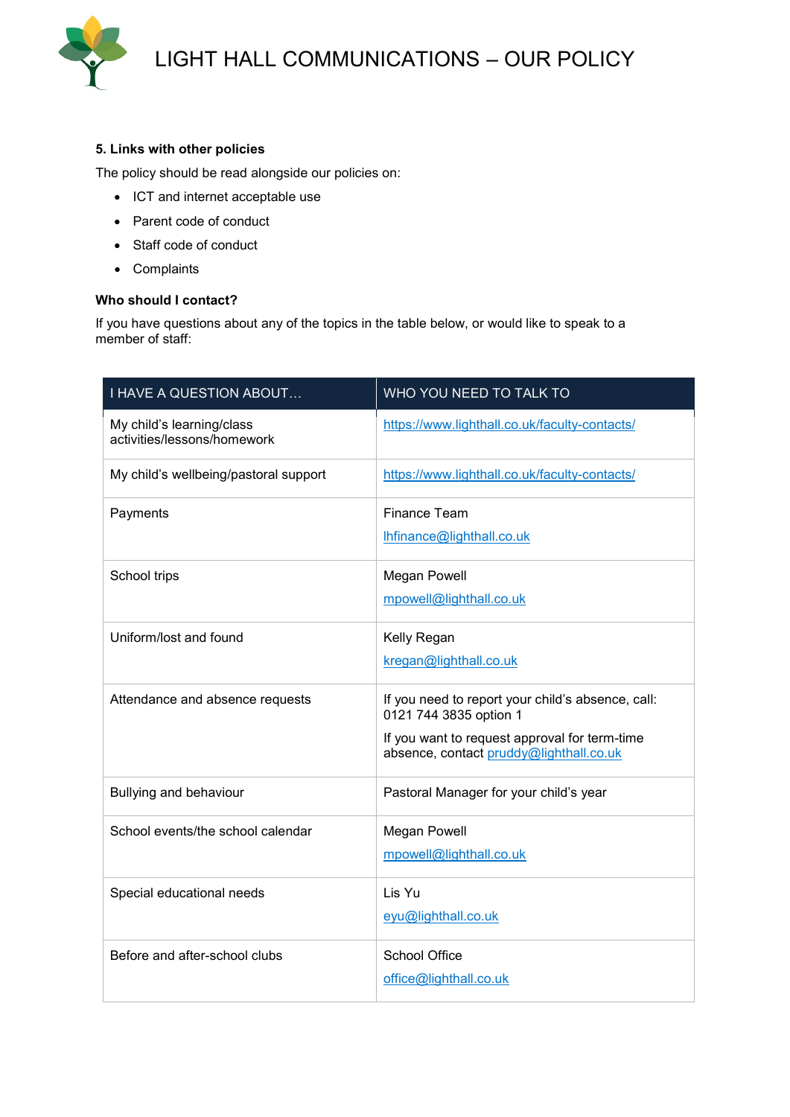

# **5. Links with other policies**

The policy should be read alongside our policies on:

- ICT and internet acceptable use
- Parent code of conduct
- Staff code of conduct
- Complaints

# **Who should I contact?**

If you have questions about any of the topics in the table below, or would like to speak to a member of staff:

| I HAVE A QUESTION ABOUT                                  | WHO YOU NEED TO TALK TO                                                                                                                                                 |
|----------------------------------------------------------|-------------------------------------------------------------------------------------------------------------------------------------------------------------------------|
| My child's learning/class<br>activities/lessons/homework | https://www.lighthall.co.uk/faculty-contacts/                                                                                                                           |
| My child's wellbeing/pastoral support                    | https://www.lighthall.co.uk/faculty-contacts/                                                                                                                           |
| Payments                                                 | <b>Finance Team</b><br>lhfinance@lighthall.co.uk                                                                                                                        |
| School trips                                             | <b>Megan Powell</b><br>mpowell@lighthall.co.uk                                                                                                                          |
| Uniform/lost and found                                   | Kelly Regan<br>kregan@lighthall.co.uk                                                                                                                                   |
| Attendance and absence requests                          | If you need to report your child's absence, call:<br>0121 744 3835 option 1<br>If you want to request approval for term-time<br>absence, contact pruddy@lighthall.co.uk |
| Bullying and behaviour                                   | Pastoral Manager for your child's year                                                                                                                                  |
| School events/the school calendar                        | <b>Megan Powell</b><br>mpowell@lighthall.co.uk                                                                                                                          |
| Special educational needs                                | Lis Yu<br>eyu@lighthall.co.uk                                                                                                                                           |
| Before and after-school clubs                            | <b>School Office</b><br>office@lighthall.co.uk                                                                                                                          |